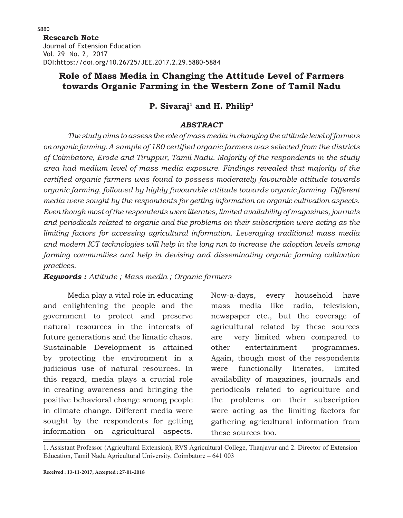**Research Note**  Journal of Extension Education Vol. 29 No. 2, 2017 DOI:https://doi.org/10.26725/JEE.2017.2.29.5880-5884

## **Role of Mass Media in Changing the Attitude Level of Farmers towards Organic Farming in the Western Zone of Tamil Nadu**

# P. Sivaraj<sup>1</sup> and H. Philip<sup>2</sup>

### *ABSTRACT*

*The study aims to assess the role of mass media in changing the attitude level of farmers on organic farming. A sample of 180 certified organic farmers was selected from the districts of Coimbatore, Erode and Tiruppur, Tamil Nadu. Majority of the respondents in the study area had medium level of mass media exposure. Findings revealed that majority of the certified organic farmers was found to possess moderately favourable attitude towards organic farming, followed by highly favourable attitude towards organic farming. Different media were sought by the respondents for getting information on organic cultivation aspects. Even though most of the respondents were literates, limited availability of magazines, journals and periodicals related to organic and the problems on their subscription were acting as the limiting factors for accessing agricultural information. Leveraging traditional mass media and modern ICT technologies will help in the long run to increase the adoption levels among farming communities and help in devising and disseminating organic farming cultivation practices.*

### *Keywords : Attitude ; Mass media ; Organic farmers*

Media play a vital role in educating and enlightening the people and the government to protect and preserve natural resources in the interests of future generations and the limatic chaos. Sustainable Development is attained by protecting the environment in a judicious use of natural resources. In this regard, media plays a crucial role in creating awareness and bringing the positive behavioral change among people in climate change. Different media were sought by the respondents for getting information on agricultural aspects.

Now-a-days, every household have mass media like radio, television, newspaper etc., but the coverage of agricultural related by these sources are very limited when compared to other entertainment programmes. Again, though most of the respondents were functionally literates, limited availability of magazines, journals and periodicals related to agriculture and the problems on their subscription were acting as the limiting factors for gathering agricultural information from these sources too.

1. Assistant Professor (Agricultural Extension), RVS Agricultural College, Thanjavur and 2. Director of Extension Education, Tamil Nadu Agricultural University, Coimbatore – 641 003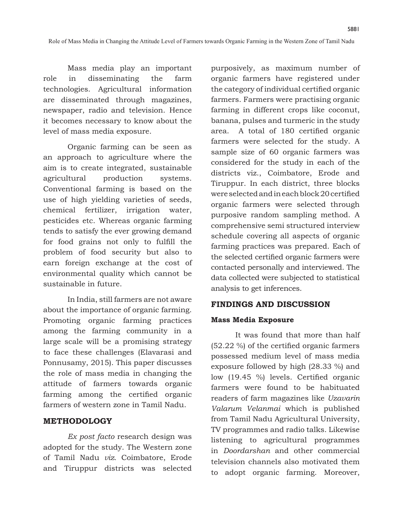Mass media play an important role in disseminating the farm technologies. Agricultural information are disseminated through magazines, newspaper, radio and television. Hence it becomes necessary to know about the level of mass media exposure.

Organic farming can be seen as an approach to agriculture where the aim is to create integrated, sustainable agricultural production systems. Conventional farming is based on the use of high yielding varieties of seeds, chemical fertilizer, irrigation water, pesticides etc. Whereas organic farming tends to satisfy the ever growing demand for food grains not only to fulfill the problem of food security but also to earn foreign exchange at the cost of environmental quality which cannot be sustainable in future.

In India, still farmers are not aware about the importance of organic farming. Promoting organic farming practices among the farming community in a large scale will be a promising strategy to face these challenges (Elavarasi and Ponnusamy, 2015). This paper discusses the role of mass media in changing the attitude of farmers towards organic farming among the certified organic farmers of western zone in Tamil Nadu.

### **METHODOLOGY**

*Ex post facto* research design was adopted for the study. The Western zone of Tamil Nadu *viz.* Coimbatore, Erode and Tiruppur districts was selected purposively, as maximum number of organic farmers have registered under the category of individual certified organic farmers. Farmers were practising organic farming in different crops like coconut, banana, pulses and turmeric in the study area. A total of 180 certified organic farmers were selected for the study. A sample size of 60 organic farmers was considered for the study in each of the districts viz., Coimbatore, Erode and Tiruppur. In each district, three blocks were selected and in each block 20 certified organic farmers were selected through purposive random sampling method. A comprehensive semi structured interview schedule covering all aspects of organic farming practices was prepared. Each of the selected certified organic farmers were contacted personally and interviewed. The data collected were subjected to statistical analysis to get inferences.

5881

#### **FINDINGS AND DISCUSSION**

#### **Mass Media Exposure**

It was found that more than half (52.22 %) of the certified organic farmers possessed medium level of mass media exposure followed by high (28.33 %) and low (19.45 %) levels. Certified organic farmers were found to be habituated readers of farm magazines like *Uzavarin Valarum Velanmai* which is published from Tamil Nadu Agricultural University, TV programmes and radio talks. Likewise listening to agricultural programmes in *Doordarshan* and other commercial television channels also motivated them to adopt organic farming. Moreover,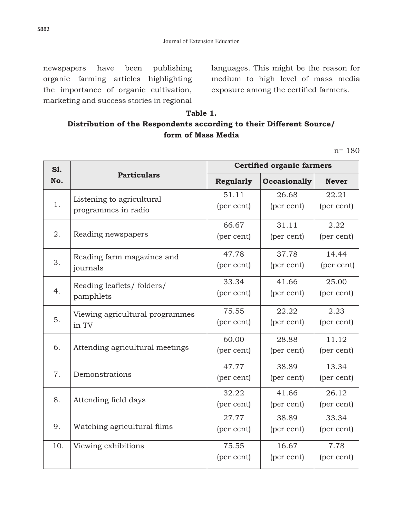newspapers have been publishing organic farming articles highlighting the importance of organic cultivation, marketing and success stories in regional

languages. This might be the reason for medium to high level of mass media exposure among the certified farmers.

## **Table 1. Distribution of the Respondents according to their Different Source/ form of Mass Media**

n= 180

| S1.<br>No. | <b>Particulars</b>              | <b>Certified organic farmers</b> |                     |              |
|------------|---------------------------------|----------------------------------|---------------------|--------------|
|            |                                 | <b>Regularly</b>                 | <b>Occasionally</b> | <b>Never</b> |
|            | Listening to agricultural       | 51.11                            | 26.68               | 22.21        |
| 1.         | programmes in radio             | (per cent)                       | (per cent)          | (per cent)   |
|            |                                 | 66.67                            | 31.11               | 2.22         |
| 2.         | Reading newspapers              | (per cent)                       | (per cent)          | (per cent)   |
|            | Reading farm magazines and      | 47.78                            | 37.78               | 14.44        |
| 3.         | journals                        | (per cent)                       | (per cent)          | (per cent)   |
|            | Reading leaflets/ folders/      | 33.34                            | 41.66               | 25.00        |
| 4.         | pamphlets                       | (per cent)                       | (per cent)          | (per cent)   |
|            | Viewing agricultural programmes | 75.55                            | 22.22               | 2.23         |
| 5.         | in TV                           | (per cent)                       | (per cent)          | (per cent)   |
|            |                                 | 60.00                            | 28.88               | 11.12        |
| 6.         | Attending agricultural meetings | (per cent)                       | (per cent)          | (per cent)   |
|            |                                 | 47.77                            | 38.89               | 13.34        |
| 7.         | Demonstrations                  | (per cent)                       | (per cent)          | (per cent)   |
|            |                                 | 32.22                            | 41.66               | 26.12        |
| 8.         | Attending field days            | (per cent)                       | (per cent)          | (per cent)   |
|            |                                 | 27.77                            | 38.89               | 33.34        |
| 9.         | Watching agricultural films     | (per cent)                       | (per cent)          | (per cent)   |
| 10.        | Viewing exhibitions             | 75.55                            | 16.67               | 7.78         |
|            |                                 | (per cent)                       | (per cent)          | (per cent)   |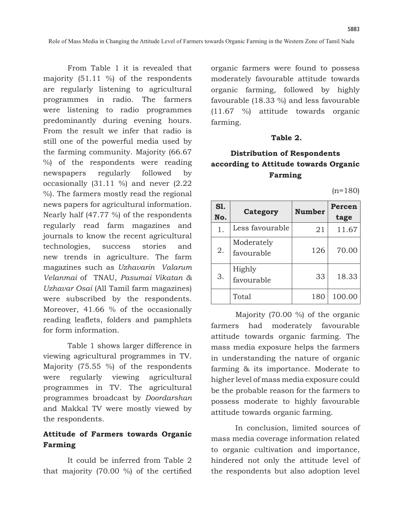From Table 1 it is revealed that majority (51.11 %) of the respondents are regularly listening to agricultural programmes in radio. The farmers were listening to radio programmes predominantly during evening hours. From the result we infer that radio is still one of the powerful media used by the farming community. Majority (66.67 %) of the respondents were reading newspapers regularly followed by occasionally (31.11 %) and never (2.22 %). The farmers mostly read the regional news papers for agricultural information. Nearly half (47.77 %) of the respondents regularly read farm magazines and journals to know the recent agricultural technologies, success stories and new trends in agriculture. The farm magazines such as *Uzhavarin Valarum Velanmai* of TNAU, *Pasumai Vikatan & Uzhavar Osai* (All Tamil farm magazines) were subscribed by the respondents. Moreover, 41.66 % of the occasionally reading leaflets, folders and pamphlets for form information.

Table 1 shows larger difference in viewing agricultural programmes in TV. Majority (75.55 %) of the respondents were regularly viewing agricultural programmes in TV. The agricultural programmes broadcast by *Doordarshan* and Makkal TV were mostly viewed by the respondents.

## **Attitude of Farmers towards Organic Farming**

It could be inferred from Table 2 that majority (70.00 %) of the certified organic farmers were found to possess moderately favourable attitude towards organic farming, followed by highly favourable (18.33 %) and less favourable (11.67 %) attitude towards organic farming.

#### **Table 2.**

# **Distribution of Respondents according to Attitude towards Organic Farming**

 $(n=180)$ 

5883

| S1.<br>No. | Category                 | <b>Number</b> | Percen<br>tage |
|------------|--------------------------|---------------|----------------|
| 1.         | Less favourable          | 21            | 11.67          |
| 2.         | Moderately<br>favourable | 126           | 70.00          |
| 3.         | Highly<br>favourable     | 33            | 18.33          |
|            | Total                    | 180           | 100.00         |

Majority (70.00 %) of the organic farmers had moderately favourable attitude towards organic farming. The mass media exposure helps the farmers in understanding the nature of organic farming & its importance. Moderate to higher level of mass media exposure could be the probable reason for the farmers to possess moderate to highly favourable attitude towards organic farming.

In conclusion, limited sources of mass media coverage information related to organic cultivation and importance, hindered not only the attitude level of the respondents but also adoption level